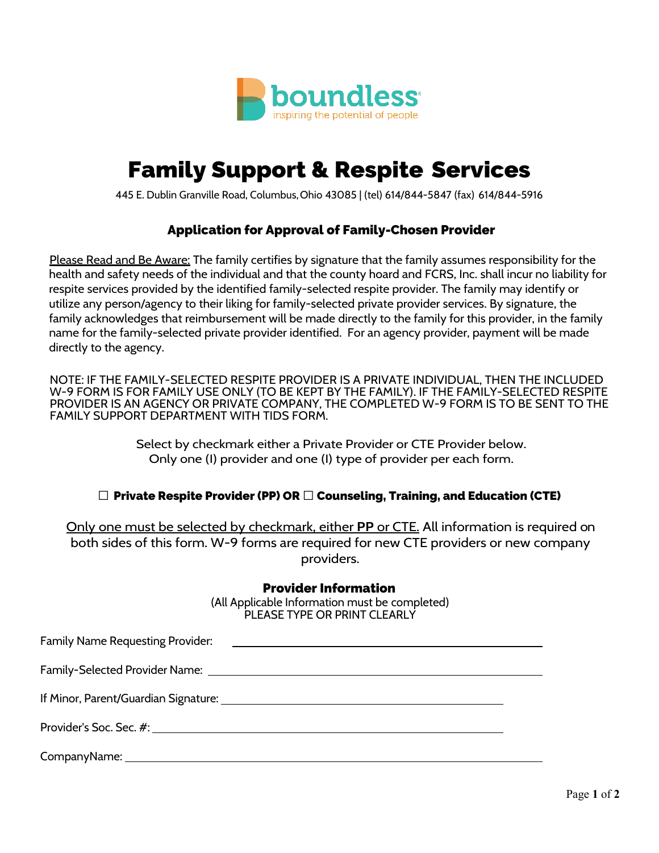

# Family Support & Respite Services

445 E. Dublin Granville Road, Columbus,Ohio 43085 | (tel) 614/844-5847 (fax) 614/844-5916

### Application for Approval of Family-Chosen Provider

Please Read and Be Aware: The family certifies by signature that the family assumes responsibility for the health and safety needs of the individual and that the county hoard and FCRS, Inc. shall incur no liability for respite services provided by the identified family-selected respite provider. The family may identify or utilize any person/agency to their liking for family-selected private provider services. By signature, the family acknowledges that reimbursement will be made directly to the family for this provider, in the family name for the family-selected private provider identified. For an agency provider, payment will be made directly to the agency.

NOTE: IF THE FAMILY-SELECTED RESPITE PROVIDER IS A PRIVATE INDIVIDUAL, THEN THE INCLUDED W-9 FORM IS FOR FAMILY USE ONLY (TO BE KEPT BY THE FAMILY). IF THE FAMILY-SELECTED RESPITE PROVIDER IS AN AGENCY OR PRIVATE COMPANY, THE COMPLETED W-9 FORM IS TO BE SENT TO THE FAMILY SUPPORT DEPARTMENT WITH TIDS FORM.

> Select by checkmark either a Private Provider or CTE Provider below. Only one (I) provider and one (I) type of provider per each form.

#### **□** Private Respite Provider (PP) OR **□** Counseling, Training, and Education (CTE)

Only one must be selected by checkmark, either **PP** or CTE. All information is required on both sides of this form. W-9 forms are required for new CTE providers or new company providers.

## Provider Information

(All Applicable Information must be completed) PLEASE TYPE OR PRINT CLEARLY

| <b>Family Name Requesting Provider:</b><br><u> 1980 - Andrea State Barbara, amerikan personal dan personal dan personal dan personal dan personal dan personal dan personal dan personal dan personal dan personal dan personal dan personal dan personal dan personal dan </u> |  |
|---------------------------------------------------------------------------------------------------------------------------------------------------------------------------------------------------------------------------------------------------------------------------------|--|
|                                                                                                                                                                                                                                                                                 |  |
|                                                                                                                                                                                                                                                                                 |  |
|                                                                                                                                                                                                                                                                                 |  |
|                                                                                                                                                                                                                                                                                 |  |